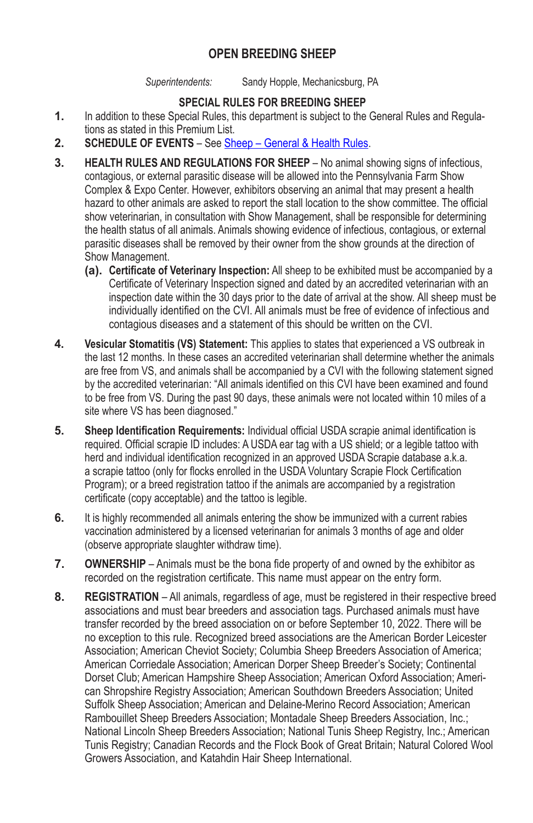## **OPEN BREEDING SHEEP**

*Superintendents:* Sandy Hopple, Mechanicsburg, PA

## **SPECIAL RULES FOR BREEDING SHEEP**

- **1.** In addition to these Special Rules, this department is subject to the General Rules and Regulations as stated in this Premium List.
- **2. SCHEDULE OF EVENTS** See Sheep General & Health Rules.
- **3. HEALTH RULES AND REGULATIONS FOR SHEEP** No animal showing signs of infectious, contagious, or external parasitic disease will be allowed into the Pennsylvania Farm Show Complex & Expo Center. However, exhibitors observing an animal that may present a health hazard to other animals are asked to report the stall location to the show committee. The official show veterinarian, in consultation with Show Management, shall be responsible for determining the health status of all animals. Animals showing evidence of infectious, contagious, or external parasitic diseases shall be removed by their owner from the show grounds at the direction of Show Management.
	- **(a). Certificate of Veterinary Inspection:** All sheep to be exhibited must be accompanied by a Certificate of Veterinary Inspection signed and dated by an accredited veterinarian with an inspection date within the 30 days prior to the date of arrival at the show. All sheep must be individually identified on the CVI. All animals must be free of evidence of infectious and contagious diseases and a statement of this should be written on the CVI.
- **4. Vesicular Stomatitis (VS) Statement:** This applies to states that experienced a VS outbreak in the last 12 months. In these cases an accredited veterinarian shall determine whether the animals are free from VS, and animals shall be accompanied by a CVI with the following statement signed by the accredited veterinarian: "All animals identified on this CVI have been examined and found to be free from VS. During the past 90 days, these animals were not located within 10 miles of a site where VS has been diagnosed."
- **5. Sheep Identification Requirements:** Individual official USDA scrapie animal identification is required. Official scrapie ID includes: A USDA ear tag with a US shield; or a legible tattoo with herd and individual identification recognized in an approved USDA Scrapie database a.k.a. a scrapie tattoo (only for flocks enrolled in the USDA Voluntary Scrapie Flock Certification Program); or a breed registration tattoo if the animals are accompanied by a registration certificate (copy acceptable) and the tattoo is legible.
- **6.** It is highly recommended all animals entering the show be immunized with a current rabies vaccination administered by a licensed veterinarian for animals 3 months of age and older (observe appropriate slaughter withdraw time).
- **7. OWNERSHIP** Animals must be the bona fide property of and owned by the exhibitor as recorded on the registration certificate. This name must appear on the entry form.
- **8. REGISTRATION** All animals, regardless of age, must be registered in their respective breed associations and must bear breeders and association tags. Purchased animals must have transfer recorded by the breed association on or before September 10, 2022. There will be no exception to this rule. Recognized breed associations are the American Border Leicester Association; American Cheviot Society; Columbia Sheep Breeders Association of America; American Corriedale Association; American Dorper Sheep Breeder's Society; Continental Dorset Club; American Hampshire Sheep Association; American Oxford Association; American Shropshire Registry Association; American Southdown Breeders Association; United Suffolk Sheep Association; American and Delaine‑Merino Record Association; American Rambouillet Sheep Breeders Association; Montadale Sheep Breeders Association, Inc.; National Lincoln Sheep Breeders Association; National Tunis Sheep Registry, Inc.; American Tunis Registry; Canadian Records and the Flock Book of Great Britain; Natural Colored Wool Growers Association, and Katahdin Hair Sheep International.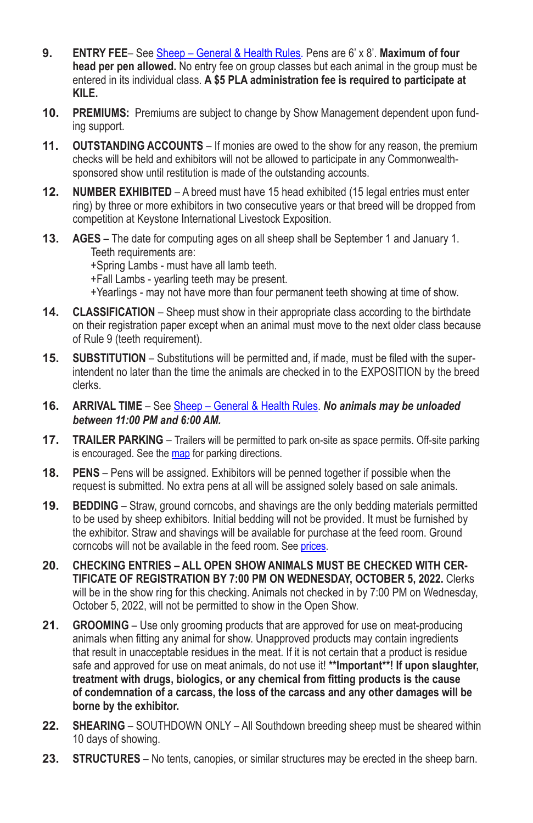- **9. ENTRY FEE** See Sheep General & Health Rules. Pens are 6' x 8'. **Maximum of four head per pen allowed.** No entry fee on group classes but each animal in the group must be entered in its individual class. **A \$5 PLA administration fee is required to participate at KILE.**
- **10. PREMIUMS:** Premiums are subject to change by Show Management dependent upon funding support.
- **11. OUTSTANDING ACCOUNTS** If monies are owed to the show for any reason, the premium checks will be held and exhibitors will not be allowed to participate in any Commonwealthsponsored show until restitution is made of the outstanding accounts.
- **12. NUMBER EXHIBITED** A breed must have 15 head exhibited (15 legal entries must enter ring) by three or more exhibitors in two consecutive years or that breed will be dropped from competition at Keystone International Livestock Exposition.
- **13. AGES** The date for computing ages on all sheep shall be September 1 and January 1. Teeth requirements are:

+Spring Lambs - must have all lamb teeth.

+Fall Lambs - yearling teeth may be present.

+Yearlings - may not have more than four permanent teeth showing at time of show.

- **14. CLASSIFICATION** Sheep must show in their appropriate class according to the birthdate on their registration paper except when an animal must move to the next older class because of Rule 9 (teeth requirement).
- **15. SUBSTITUTION** Substitutions will be permitted and, if made, must be filed with the superintendent no later than the time the animals are checked in to the EXPOSITION by the breed clerks.
- **16. ARRIVAL TIME** See Sheep General & Health Rules. *No animals may be unloaded between 11:00 PM and 6:00 AM.*
- **17. TRAILER PARKING** Trailers will be permitted to park on-site as space permits. Off-site parking is encouraged. See the map for parking directions.
- **18. PENS** Pens will be assigned. Exhibitors will be penned together if possible when the request is submitted. No extra pens at all will be assigned solely based on sale animals.
- **19. BEDDING** Straw, ground corncobs, and shavings are the only bedding materials permitted to be used by sheep exhibitors. Initial bedding will not be provided. It must be furnished by the exhibitor. Straw and shavings will be available for purchase at the feed room. Ground corncobs will not be available in the feed room. See prices.
- **20. CHECKING ENTRIES ALL OPEN SHOW ANIMALS MUST BE CHECKED WITH CER-TIFICATE OF REGISTRATION BY 7:00 PM ON WEDNESDAY, OCTOBER 5, 2022.** Clerks will be in the show ring for this checking. Animals not checked in by 7:00 PM on Wednesday, October 5, 2022, will not be permitted to show in the Open Show.
- **21. GROOMING** Use only grooming products that are approved for use on meat-producing animals when fitting any animal for show. Unapproved products may contain ingredients that result in unacceptable residues in the meat. If it is not certain that a product is residue safe and approved for use on meat animals, do not use it! **\*\*Important\*\*! If upon slaughter, treatment with drugs, biologics, or any chemical from fitting products is the cause of condemnation of a carcass, the loss of the carcass and any other damages will be borne by the exhibitor.**
- **22. SHEARING** SOUTHDOWN ONLY All Southdown breeding sheep must be sheared within 10 days of showing.
- **23. STRUCTURES** No tents, canopies, or similar structures may be erected in the sheep barn.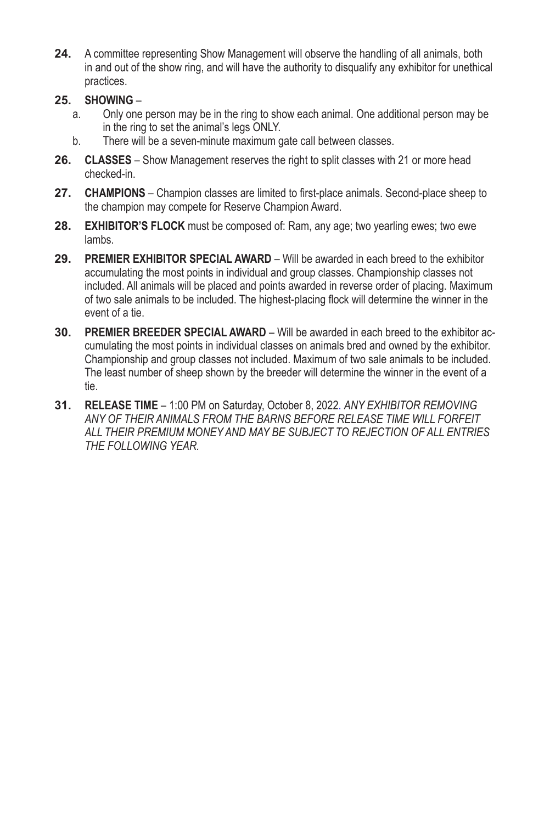- **24.** A committee representing Show Management will observe the handling of all animals, both in and out of the show ring, and will have the authority to disqualify any exhibitor for unethical practices.
- **25. SHOWING**
	- a. Only one person may be in the ring to show each animal. One additional person may be in the ring to set the animal's legs ONLY.
	- b. There will be a seven-minute maximum gate call between classes.
- **26. CLASSES** Show Management reserves the right to split classes with 21 or more head checked-in.
- **27. CHAMPIONS** Champion classes are limited to first-place animals. Second-place sheep to the champion may compete for Reserve Champion Award.
- **28. EXHIBITOR'S FLOCK** must be composed of: Ram, any age; two yearling ewes; two ewe lambs.
- **29. PREMIER EXHIBITOR SPECIAL AWARD** Will be awarded in each breed to the exhibitor accumulating the most points in individual and group classes. Championship classes not included. All animals will be placed and points awarded in reverse order of placing. Maximum of two sale animals to be included. The highest-placing flock will determine the winner in the event of a tie.
- **30. PREMIER BREEDER SPECIAL AWARD** Will be awarded in each breed to the exhibitor accumulating the most points in individual classes on animals bred and owned by the exhibitor. Championship and group classes not included. Maximum of two sale animals to be included. The least number of sheep shown by the breeder will determine the winner in the event of a tie.
- **31. RELEASE TIME** 1:00 PM on Saturday, October 8, 2022. *ANY EXHIBITOR REMOVING ANY OF THEIR ANIMALS FROM THE BARNS BEFORE RELEASE TIME WILL FORFEIT ALL THEIR PREMIUM MONEY AND MAY BE SUBJECT TO REJECTION OF ALL ENTRIES THE FOLLOWING YEAR.*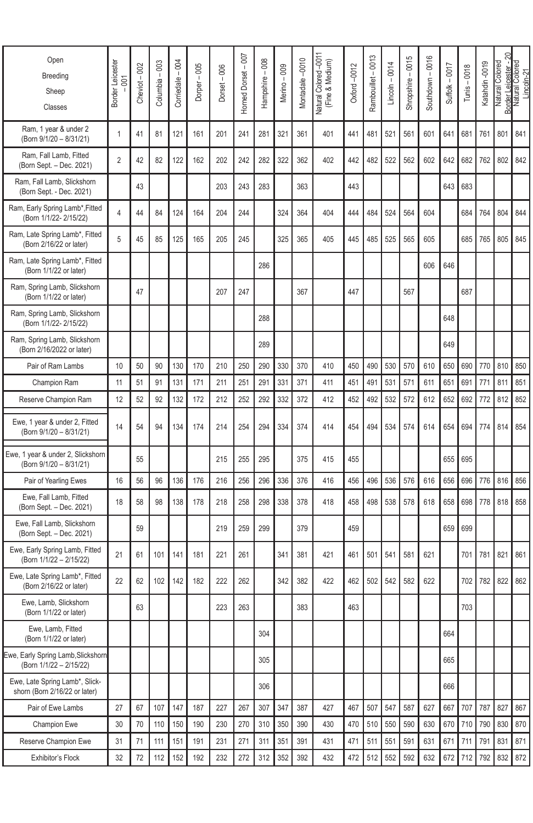| Open<br>Breeding<br>Sheep<br>Classes                            | Border Leicester<br>$\overline{5}$<br>J. | Cheviot-002 | Columbia - 003 | Corriedale - 004 | Dorper-005 | $Dorset - 006$ | Horned Dorset - 007 | Hampshire - 008 | Merino - 009 | Montadale-0010 | Natural Colored -0011<br>(Fine & Medium) | Oxford-0012 | Rambouillet - 0013 | $Lineoln - 0014$ | Shropshire-0015 | Southdown - 0016 | Suffolk - 0017 | Tunis - 0018 | Katahdin-0019 | ສ<br>Border Leicester -<br>Natural Colored | Colored<br>Lincoln-21<br>Natural |
|-----------------------------------------------------------------|------------------------------------------|-------------|----------------|------------------|------------|----------------|---------------------|-----------------|--------------|----------------|------------------------------------------|-------------|--------------------|------------------|-----------------|------------------|----------------|--------------|---------------|--------------------------------------------|----------------------------------|
| Ram, 1 year & under 2<br>(Born 9/1/20 - 8/31/21)                | 1                                        | 41          | 81             | 121              | 161        | 201            | 241                 | 281             | 321          | 361            | 401                                      | 441         | 481                | 521              | 561             | 601              | 641            | 681          | 761           | 801                                        | 841                              |
| Ram, Fall Lamb, Fitted<br>(Born Sept. – Dec. 2021)              | $\overline{c}$                           | 42          | 82             | 122              | 162        | 202            | 242                 | 282             | 322          | 362            | 402                                      | 442         | 482                | 522              | 562             | 602              | 642            | 682          | 762           | 802                                        | 842                              |
| Ram, Fall Lamb, Slickshorn<br>(Born Sept. - Dec. 2021)          |                                          | 43          |                |                  |            | 203            | 243                 | 283             |              | 363            |                                          | 443         |                    |                  |                 |                  | 643            | 683          |               |                                            |                                  |
| Ram, Early Spring Lamb*, Fitted<br>(Born 1/1/22-2/15/22)        | 4                                        | 44          | 84             | 124              | 164        | 204            | 244                 |                 | 324          | 364            | 404                                      | 444         | 484                | 524              | 564             | 604              |                | 684          | 764           | 804                                        | 844                              |
| Ram, Late Spring Lamb*, Fitted<br>(Born 2/16/22 or later)       | 5                                        | 45          | 85             | 125              | 165        | 205            | 245                 |                 | 325          | 365            | 405                                      | 445         | 485                | 525              | 565             | 605              |                | 685          | 765           | 805                                        | 845                              |
| Ram, Late Spring Lamb*, Fitted<br>(Born 1/1/22 or later)        |                                          |             |                |                  |            |                |                     | 286             |              |                |                                          |             |                    |                  |                 | 606              | 646            |              |               |                                            |                                  |
| Ram, Spring Lamb, Slickshorn<br>(Born 1/1/22 or later)          |                                          | 47          |                |                  |            | 207            | 247                 |                 |              | 367            |                                          | 447         |                    |                  | 567             |                  |                | 687          |               |                                            |                                  |
| Ram, Spring Lamb, Slickshorn<br>(Born 1/1/22- 2/15/22)          |                                          |             |                |                  |            |                |                     | 288             |              |                |                                          |             |                    |                  |                 |                  | 648            |              |               |                                            |                                  |
| Ram, Spring Lamb, Slickshorn<br>(Born 2/16/2022 or later)       |                                          |             |                |                  |            |                |                     | 289             |              |                |                                          |             |                    |                  |                 |                  | 649            |              |               |                                            |                                  |
| Pair of Ram Lambs                                               | 10                                       | 50          | 90             | 130              | 170        | 210            | 250                 | 290             | 330          | 370            | 410                                      | 450         | 490                | 530              | 570             | 610              | 650            | 690          | 770           | 810                                        | 850                              |
| Champion Ram                                                    | 11                                       | 51          | 91             | 131              | 171        | 211            | 251                 | 291             | 331          | 371            | 411                                      | 451         | 491                | 531              | 571             | 611              | 651            | 691          | 771           | 811                                        | 851                              |
| Reserve Champion Ram                                            | 12                                       | 52          | 92             | 132              | 172        | 212            | 252                 | 292             | 332          | 372            | 412                                      | 452         | 492                | 532              | 572             | 612              | 652            | 692          | 772           | 812                                        | 852                              |
| Ewe, 1 year & under 2, Fitted<br>(Born 9/1/20 - 8/31/21)        | 14                                       | 54          | 94             | 134              | 174        | 214            | 254                 | 294             | 334          | 374            | 414                                      | 454         | 494                | 534              | 574             | 614              | 654            | 694          | 774           | 814                                        | 854                              |
| Ewe, 1 year & under 2, Slickshorn<br>(Born 9/1/20 - 8/31/21)    |                                          | 55          |                |                  |            | 215            | 255                 | 295             |              | 375            | 415                                      | 455         |                    |                  |                 |                  | 655            | 695          |               |                                            |                                  |
| Pair of Yearling Ewes                                           | 16                                       | 56          | 96             | 136              | 176        | 216            | 256                 | 296             | 336          | 376            | 416                                      | 456         | 496                | 536              | 576             | 616              | 656            | 696          | 776           | 816                                        | 856                              |
| Ewe, Fall Lamb, Fitted<br>(Born Sept. - Dec. 2021)              | 18                                       | 58          | 98             | 138              | 178        | 218            | 258                 | 298             | 338          | 378            | 418                                      | 458         | 498                | 538              | 578             | 618              | 658            | 698          | 778           | 818                                        | 858                              |
| Ewe, Fall Lamb, Slickshorn<br>(Born Sept. - Dec. 2021)          |                                          | 59          |                |                  |            | 219            | 259                 | 299             |              | 379            |                                          | 459         |                    |                  |                 |                  | 659            | 699          |               |                                            |                                  |
| Ewe, Early Spring Lamb, Fitted<br>(Born 1/1/22 - 2/15/22)       | 21                                       | 61          | 101            | 141              | 181        | 221            | 261                 |                 | 341          | 381            | 421                                      | 461         | 501                | 541              | 581             | 621              |                | 701          | 781           | 821                                        | 861                              |
| Ewe, Late Spring Lamb*, Fitted<br>(Born 2/16/22 or later)       | 22                                       | 62          | 102            | 142              | 182        | 222            | 262                 |                 | 342          | 382            | 422                                      | 462         | 502                | 542              | 582             | 622              |                | 702          | 782           | 822                                        | 862                              |
| Ewe, Lamb, Slickshorn<br>(Born 1/1/22 or later)                 |                                          | 63          |                |                  |            | 223            | 263                 |                 |              | 383            |                                          | 463         |                    |                  |                 |                  |                | 703          |               |                                            |                                  |
| Ewe, Lamb, Fitted<br>(Born 1/1/22 or later)                     |                                          |             |                |                  |            |                |                     | 304             |              |                |                                          |             |                    |                  |                 |                  | 664            |              |               |                                            |                                  |
| Ewe, Early Spring Lamb, Slickshorn<br>(Born 1/1/22 - 2/15/22)   |                                          |             |                |                  |            |                |                     | 305             |              |                |                                          |             |                    |                  |                 |                  | 665            |              |               |                                            |                                  |
| Ewe, Late Spring Lamb*, Slick-<br>shorn (Born 2/16/22 or later) |                                          |             |                |                  |            |                |                     | 306             |              |                |                                          |             |                    |                  |                 |                  | 666            |              |               |                                            |                                  |
| Pair of Ewe Lambs                                               | 27                                       | 67          | 107            | 147              | 187        | 227            | 267                 | 307             | 347          | 387            | 427                                      | 467         | 507                | 547              | 587             | 627              | 667            | 707          | 787           | 827                                        | 867                              |
| Champion Ewe                                                    | 30                                       | 70          | 110            | 150              | 190        | 230            | 270                 | 310             | 350          | 390            | 430                                      | 470         | 510                | 550              | 590             | 630              | 670            | 710          | 790           | 830                                        | 870                              |
| Reserve Champion Ewe                                            | 31                                       | 71          | 111            | 151              | 191        | 231            | 271                 | 311             | 351          | 391            | 431                                      | 471         | 511                | 551              | 591             | 631              | 671            | 711          | 791           | 831                                        | 871                              |
| Exhibitor's Flock                                               | 32                                       | 72          | 112            | 152              | 192        | 232            | 272                 | 312             | 352          | 392            | 432                                      | 472         | 512                | 552              | 592             | 632              | 672            | 712          | 792           | 832                                        | 872                              |
|                                                                 |                                          |             |                |                  |            |                |                     |                 |              |                |                                          |             |                    |                  |                 |                  |                |              |               |                                            |                                  |